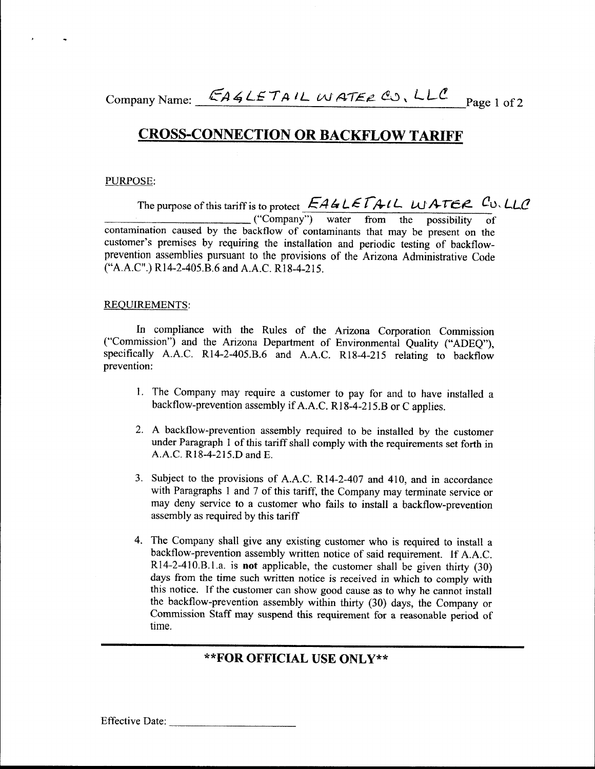Company Name: EAGLETAIL WATER CO, LLC<sup>P</sup> Page 1 of 2

# CROSS-CONNECTION OR BACKFLOW TARIFF

#### PURPOSE:

J

The purpose of this tariff is to protect  $E A G L E T A L L$  *L*  $H A T E R$  <sup>*C*</sup>  $L L C$ \_ \_\_\_ ("Company") water from the possibility of contamination caused by the backflow of contaminants that may be present on the customer's premises by requiring the installation and periodic testing of backilowprevention assemblies pursuant to the provisions of the Arizona Administrative Code ("A,A.C".) R14-2-405.B.6 and A.A.C. R18\_4-215.

#### REQUIREMENTS:

In compliance with the Rules of the Arizona Corporation Commission ("Commission") and the Arizona Department of Environmental Quality ("ADEQ"), specifically A.A.C. R14-2-405.B.6 and A.A.C. R18-4-215 relating to backflow prevention:

- l. The Company may require a customer to pay for and to have installed a backflow-prevention assembly if A.A.C. R18-4-215.B or C applies.
- 2. A backflow-prevention assembly required to be installed by the customer under Paragraph l of this tariff shall comply with the requirements set forth in A.A.c. R18-4-215.D and E.
- 3. Subject to the provisions of A.A.C. R14-2-407 and 410, and in accordance with Paragraphs 1 and 7 of this tariff, the Company may terminate service or may deny service to a customer who fails to install a backflow-prevention assembly as required by this tariff
- 4. The Company shall give any existing customer who is required to install a backflow-prevention assembly written notice of said requirement. If A.A.C. Rl4~2-4l0.B.l,a. is not applicable, the customer shall be given thirty (30) days from the time such written notice is received in which to comply with this notice. If the customer can show good cause as to why he cannot install the backflow-prevention assembly within thirty (30) days, the Company or Commission Staff may suspend this requirement for a reasonable period of time.

### **\*\*F()R OFFICIAL USE ONLY\*\***

Effective Date: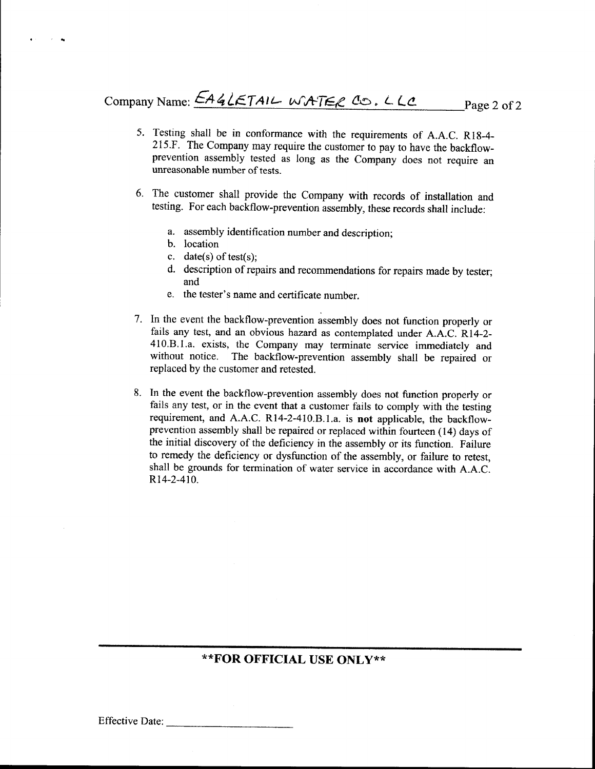- 5. Testing shall be in conformance with the requirements of A.A.C. Rl8-4- 2l5.F. The Company may require the customer to pay to have the backflowprevention assembly tested as long as the Company does not require an unreasonable number of tests.
- The customer shall provide the Company with records of installation and 6. testing. For each backflow-prevention assembly, these records shall include:
	- a. assembly identification number and description,
	- b. location
	- c. date(s) of test(s);
	- d. description of repairs and recommendations for repairs made by tester, and
	- e. the tester's name and certificate number.
- 7. In the event the backflow-prevention assembly does not function properly or fails any test, and an obvious hazard as contemplated under A.A.C. R14-2- 4l0.B.I.a. exists, the Company may terminate service immediately and without notice. The backflow-prevention assembly shall be repaired or replaced by the customer and retested.
- 8. In the event the backflow-prevention assembly does not function properly or fails any test, or in the event that a customer fails to comply with the testing requirement, and A.A.C. R14-2-410.B.l.a. is not applicable, the backflowprevention assembly shall be repaired or replaced within fourteen (14) days of the initial discovery of the deficiency in the assembly or its function. Failure to remedy the deficiency or dysfunction of the assembly, or failure to retest, shall be grounds for termination of water service in accordance with A.A.C. R14-2-410.

## **\*\*FOR OFFICIAL USE ONLY\*\***

Effective Date:

**I**